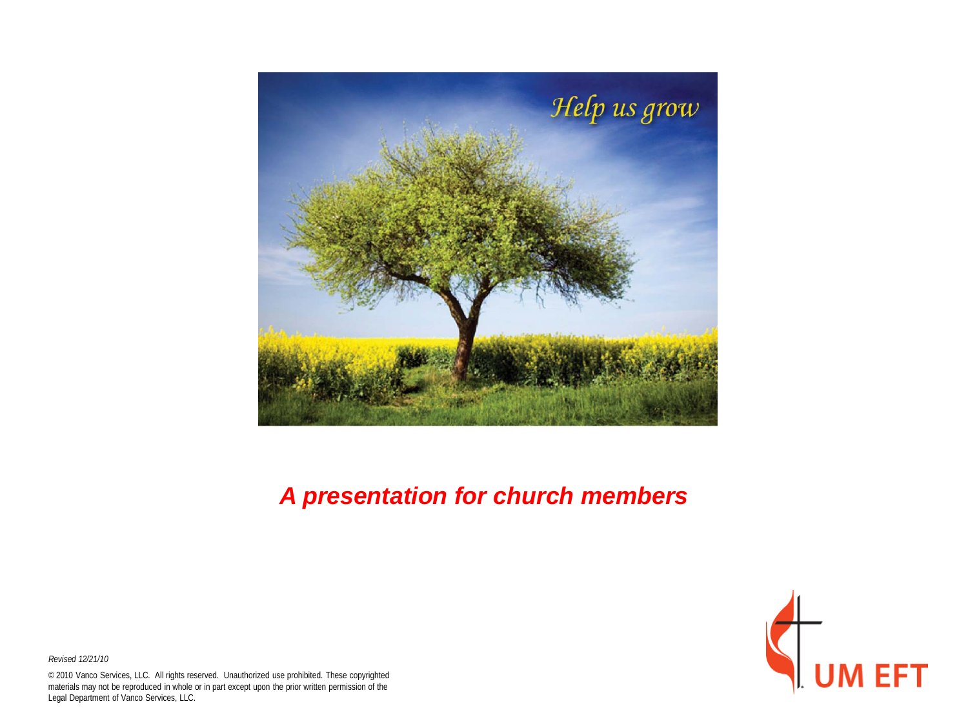

#### *A presentation for church members*



*Revised 12/21/10*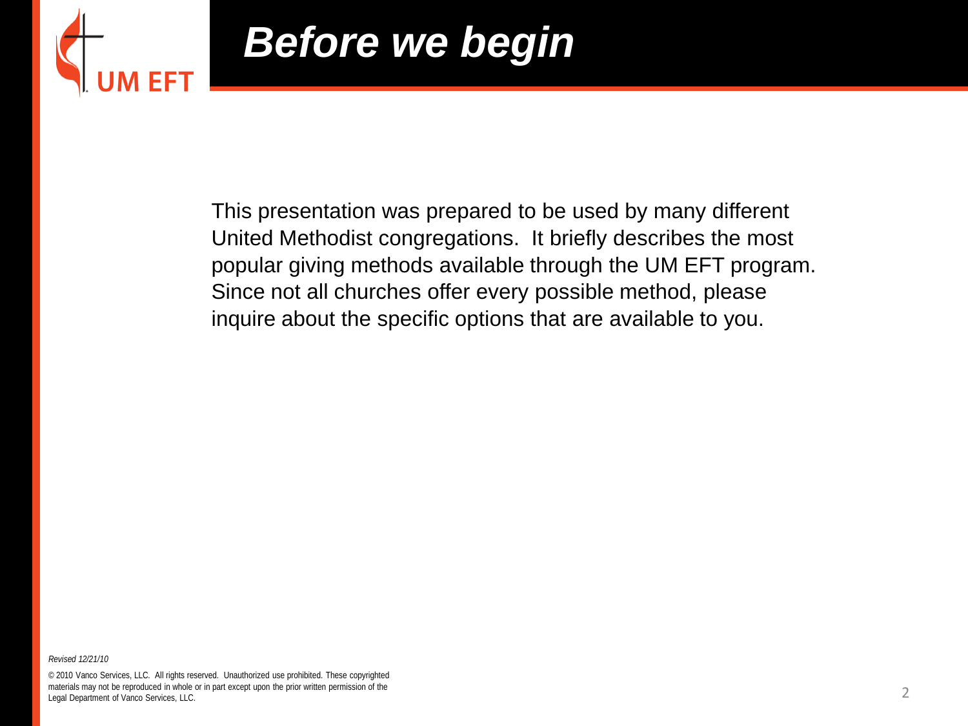

### *Before we begin*

This presentation was prepared to be used by many different United Methodist congregations. It briefly describes the most popular giving methods available through the UM EFT program. Since not all churches offer every possible method, please inquire about the specific options that are available to you.

*Revised 12/21/10*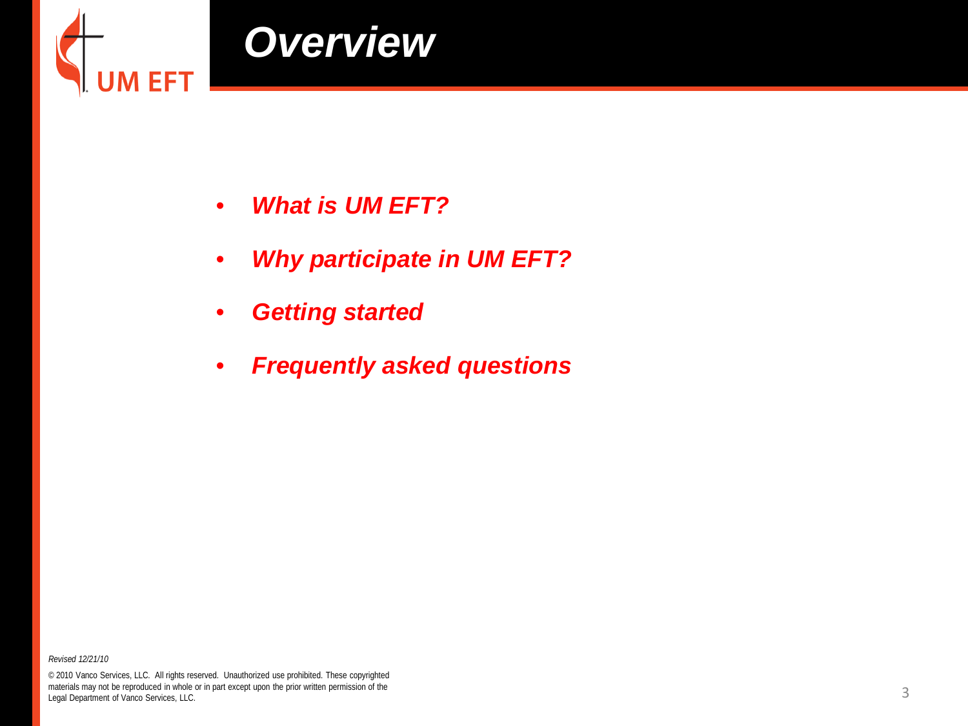

- *What is UM EFT?*
- *Why participate in UM EFT?*
- *Getting started*
- *Frequently asked questions*

*Revised 12/21/10*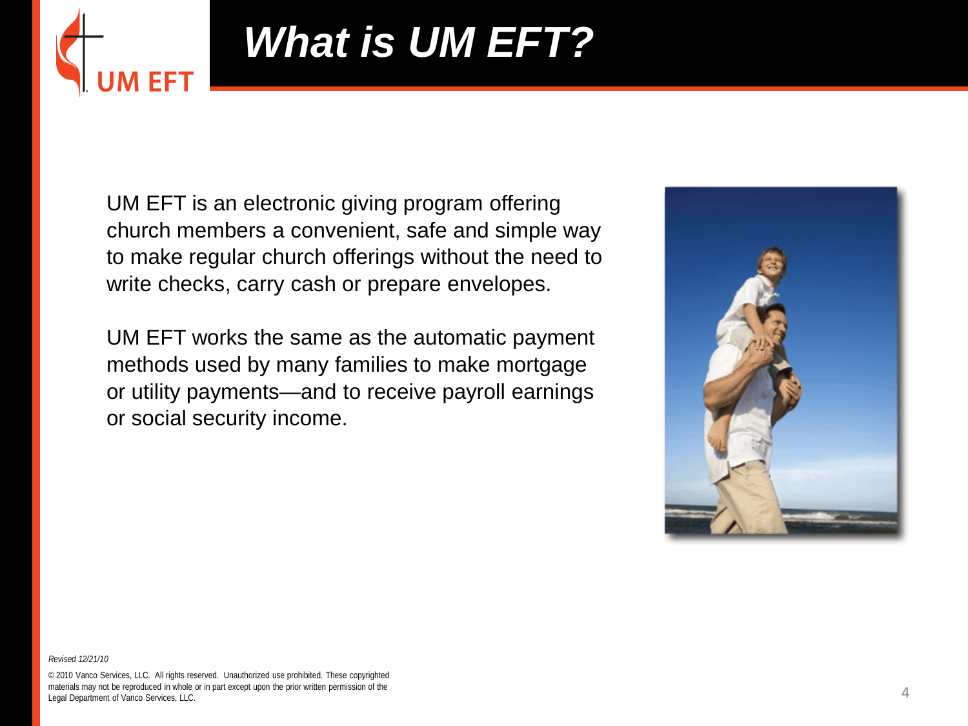

# *What is UM EFT?*

UM EFT is an electronic giving program offering church members a convenient, safe and simple way to make regular church offerings without the need to write checks, carry cash or prepare envelopes.

UM EFT works the same as the automatic payment methods used by many families to make mortgage or utility payments—and to receive payroll earnings or social security income.



*Revised 12/21/10*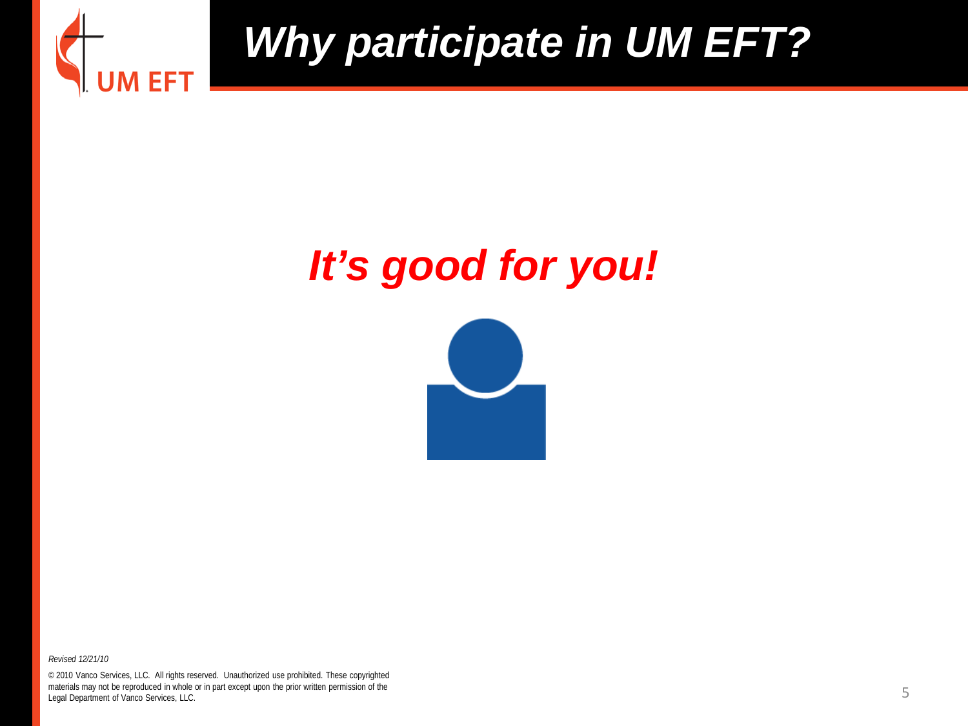

#### *It's good for you!*



*Revised 12/21/10*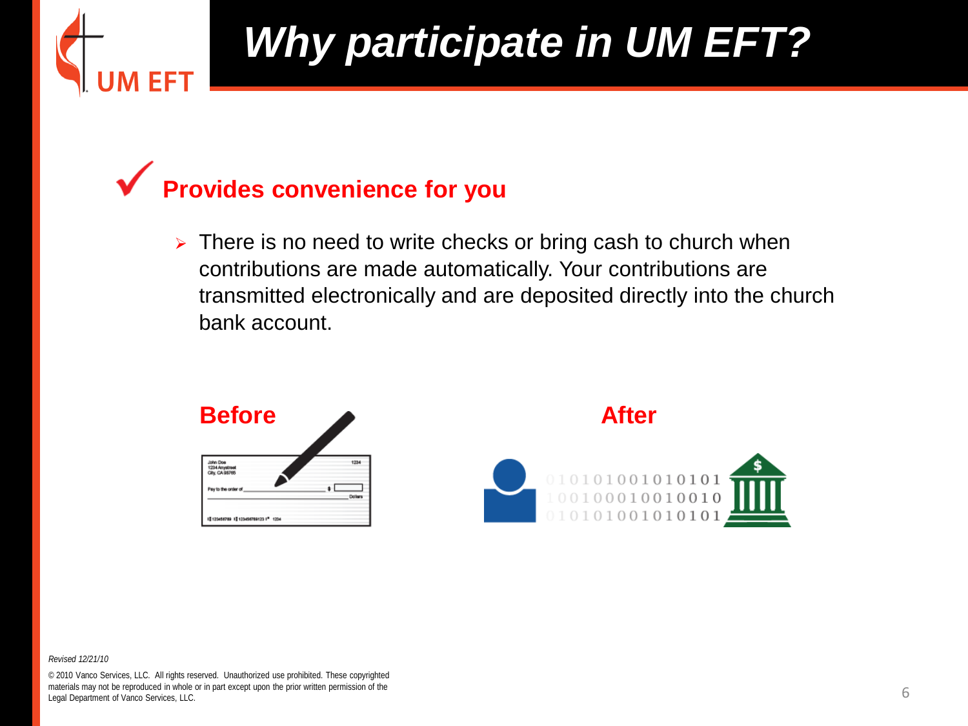

#### **Provides convenience for you**

 $\triangleright$  There is no need to write checks or bring cash to church when contributions are made automatically. Your contributions are transmitted electronically and are deposited directly into the church bank account.



*Revised 12/21/10*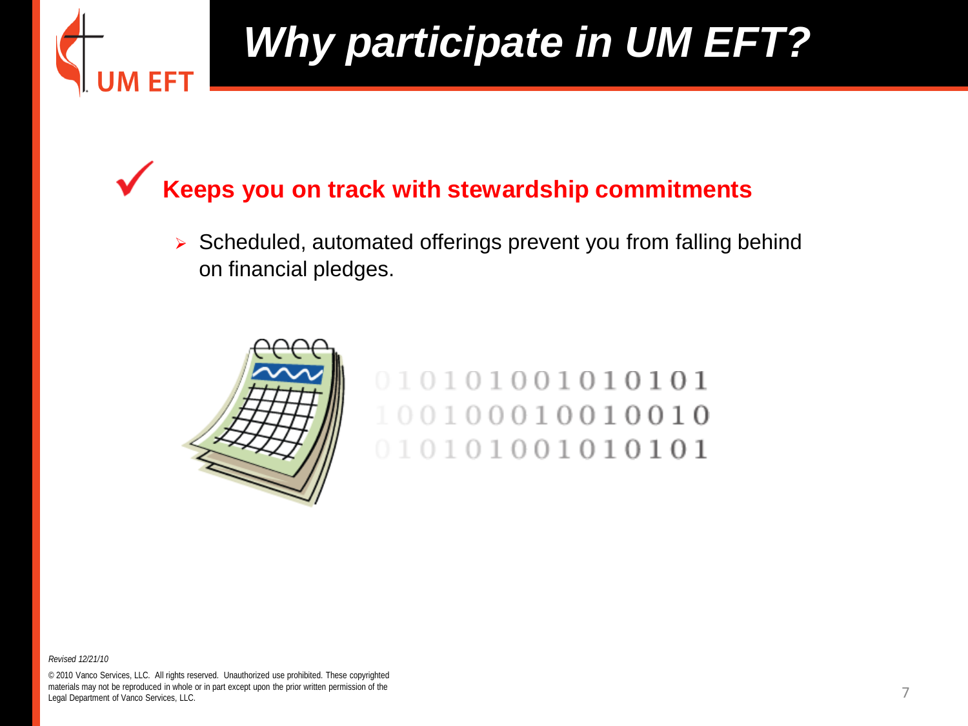

**Keeps you on track with stewardship commitments** 

Scheduled, automated offerings prevent you from falling behind on financial pledges.



010101001010101 100100010010010 010101001010101

*Revised 12/21/10*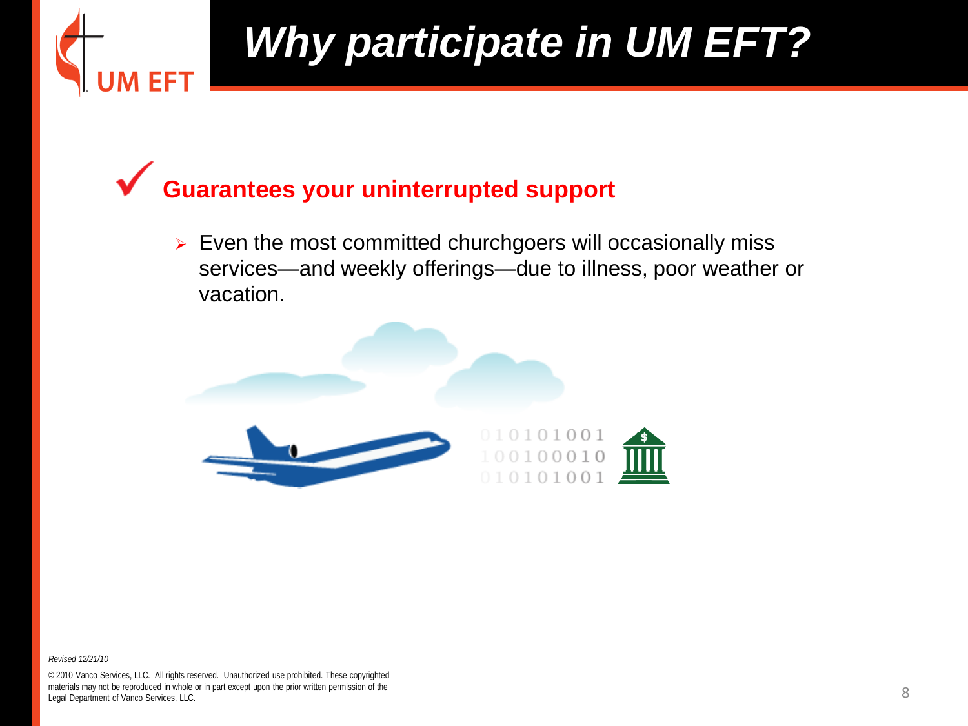

#### **Guarantees your uninterrupted support**

 $\triangleright$  Even the most committed churchgoers will occasionally miss services—and weekly offerings—due to illness, poor weather or vacation.



*Revised 12/21/10*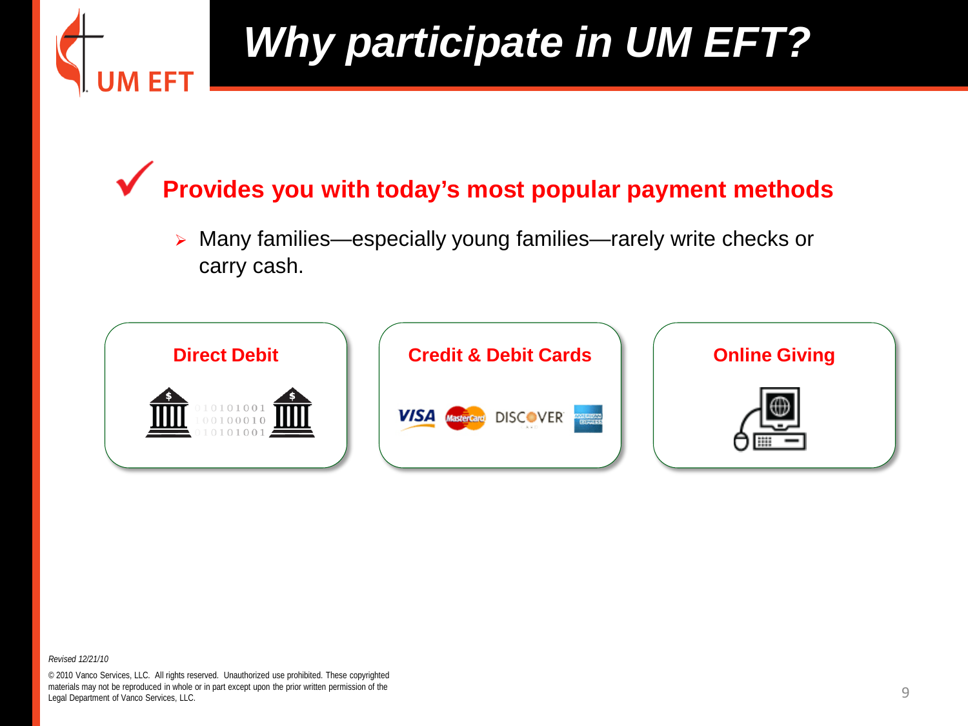

**Provides you with today's most popular payment methods**

 Many families—especially young families—rarely write checks or carry cash.



*Revised 12/21/10*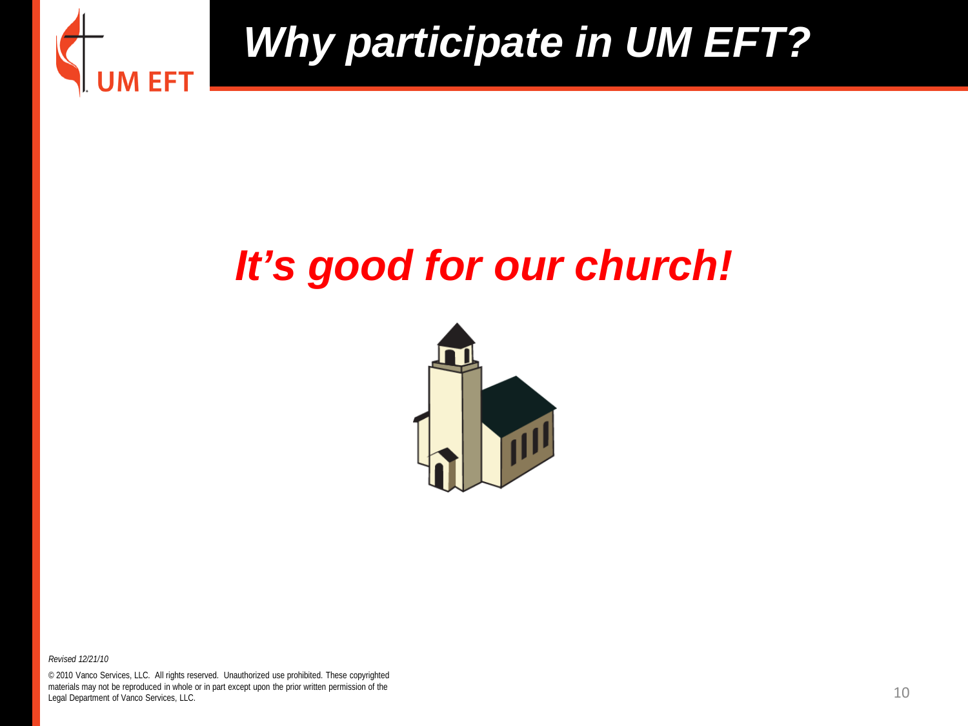

#### *It's good for our church!*



*Revised 12/21/10*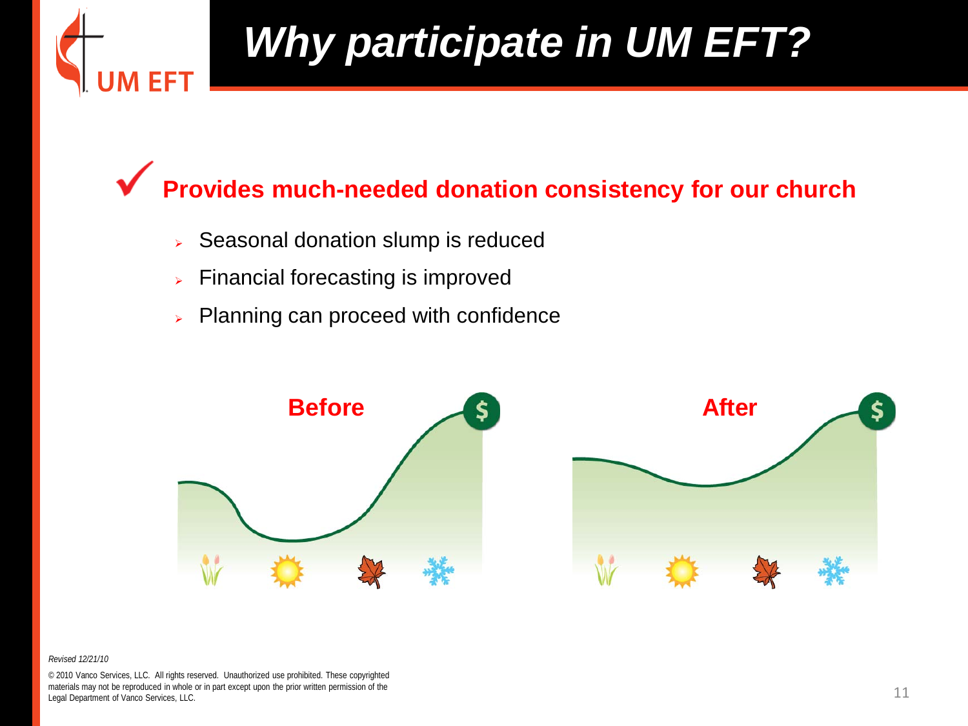

#### **Provides much-needed donation consistency for our church**

- $\triangleright$  Seasonal donation slump is reduced
- $\triangleright$  Financial forecasting is improved
- $\triangleright$  Planning can proceed with confidence



#### *Revised 12/21/10*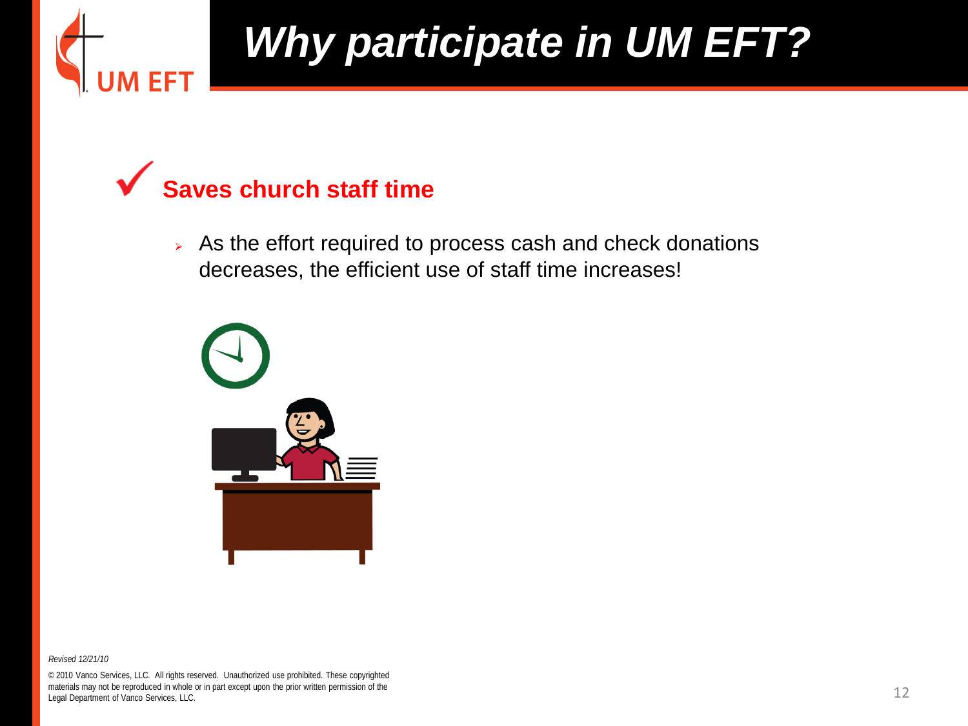

#### **Saves church staff time**

 $\triangleright$  As the effort required to process cash and check donations decreases, the efficient use of staff time increases!



*Revised 12/21/10*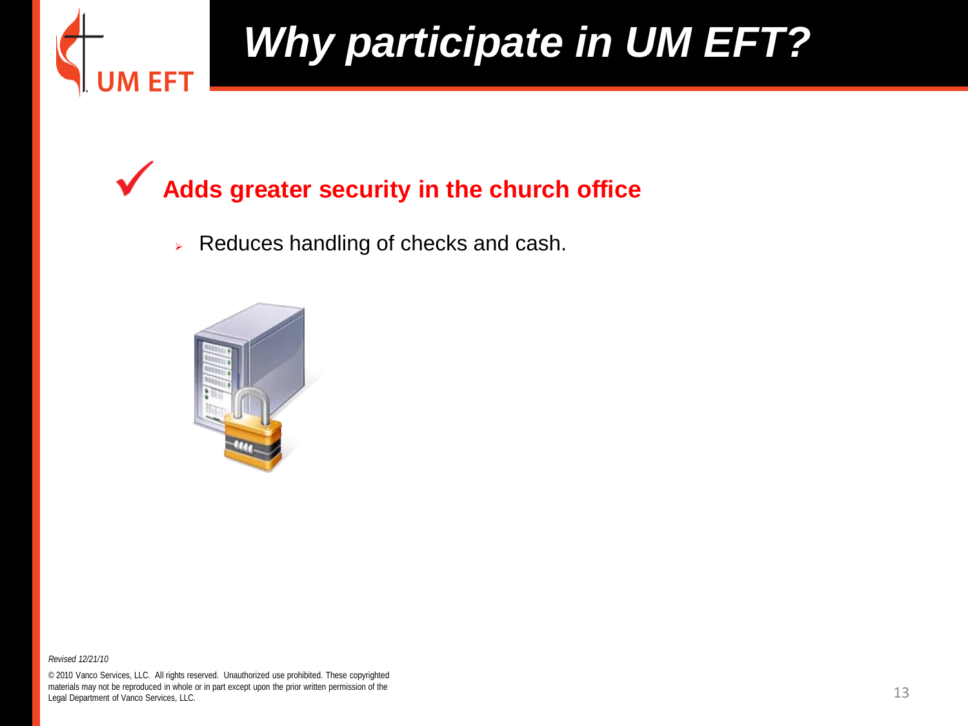

#### **Adds greater security in the church office**

 $\triangleright$  Reduces handling of checks and cash.



*Revised 12/21/10*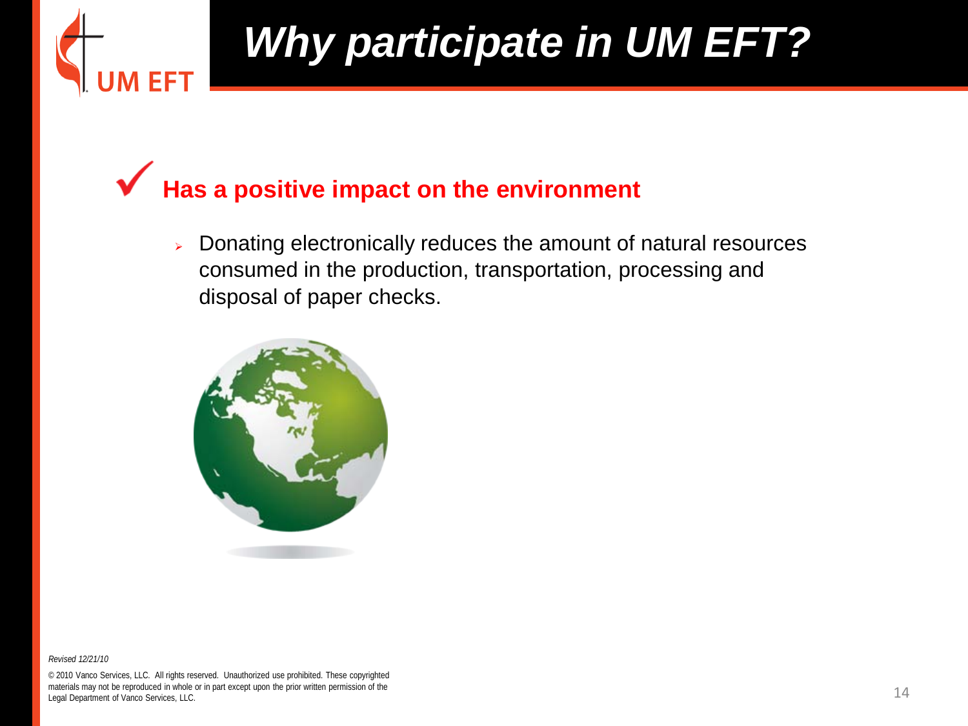

**Has a positive impact on the environment**

 $\triangleright$  Donating electronically reduces the amount of natural resources consumed in the production, transportation, processing and disposal of paper checks.



*Revised 12/21/10*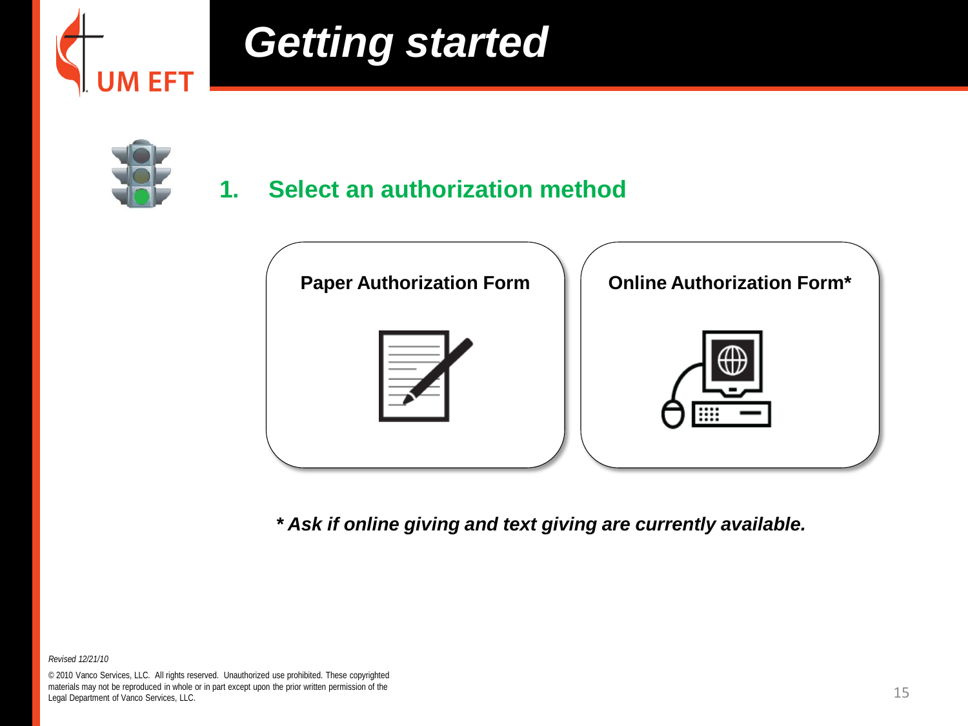

### *Getting started*



#### **1. Select an authorization method**



*\* Ask if online giving and text giving are currently available.*

*Revised 12/21/10*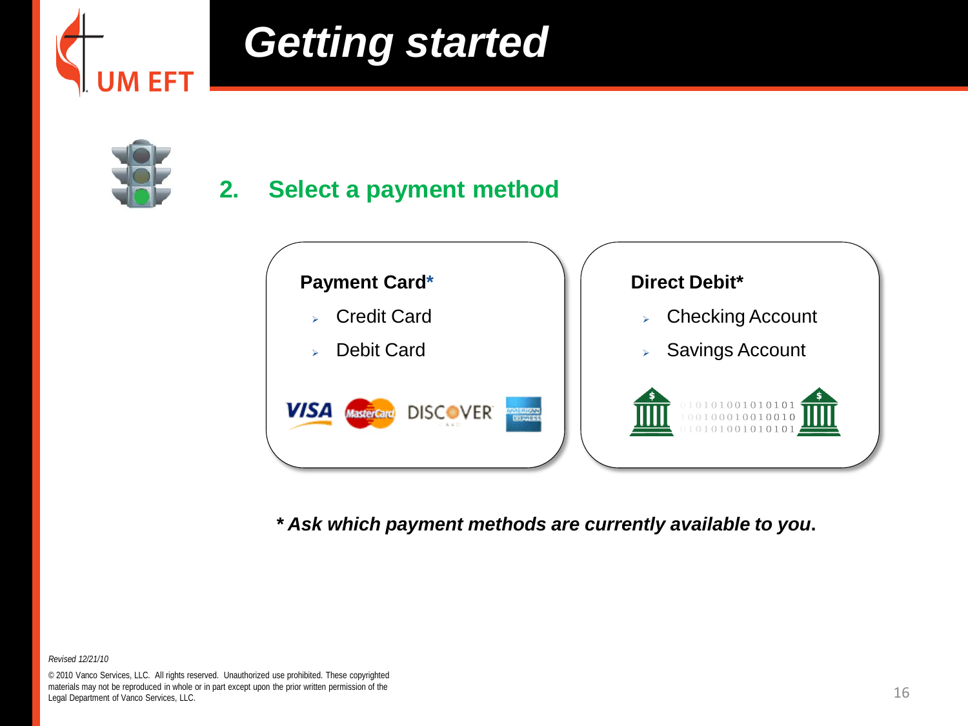

### *Getting started*



#### **2. Select a payment method**



*\* Ask which payment methods are currently available to you***.**

*Revised 12/21/10*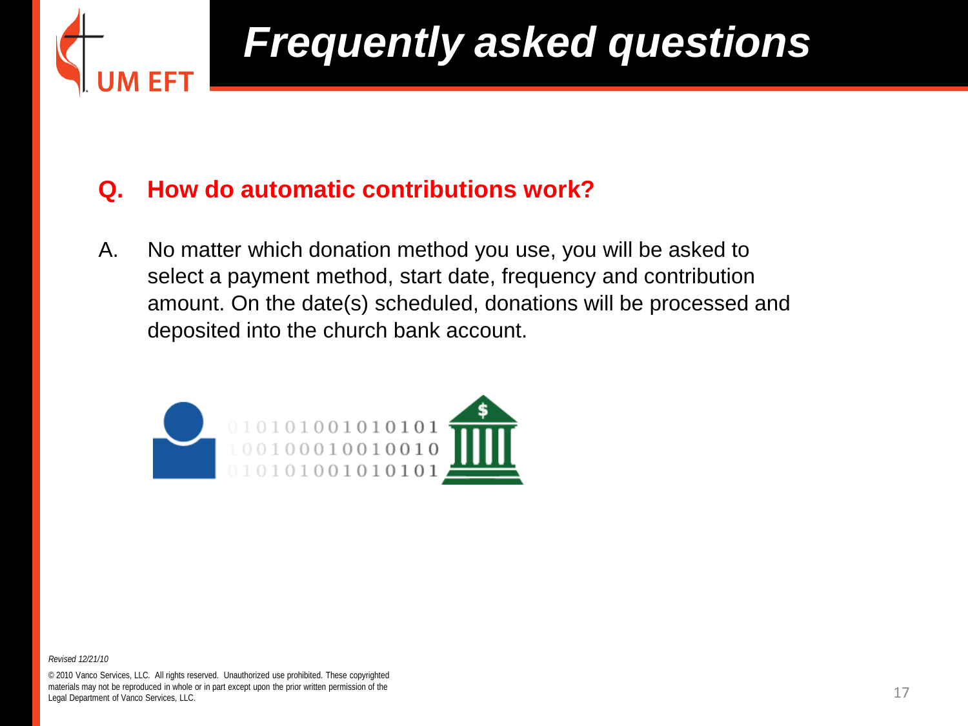

#### **Q. How do automatic contributions work?**

A. No matter which donation method you use, you will be asked to select a payment method, start date, frequency and contribution amount. On the date(s) scheduled, donations will be processed and deposited into the church bank account.



*Revised 12/21/10*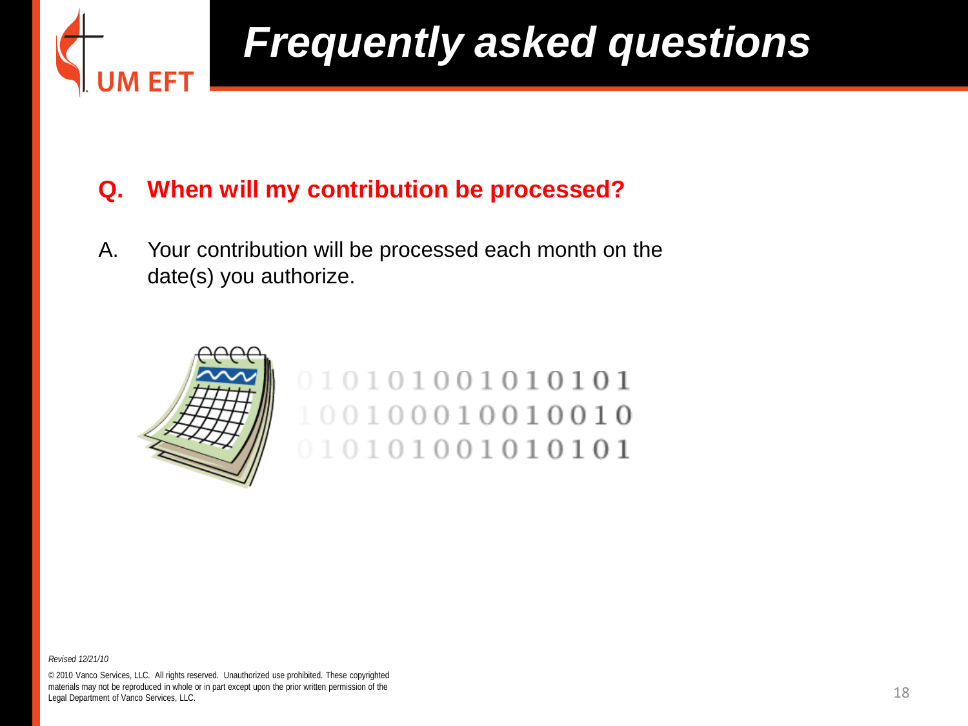

#### **Q. When will my contribution be processed?**

A. Your contribution will be processed each month on the date(s) you authorize.



#### 010101001010101 100100010010010 010101001010101

*Revised 12/21/10*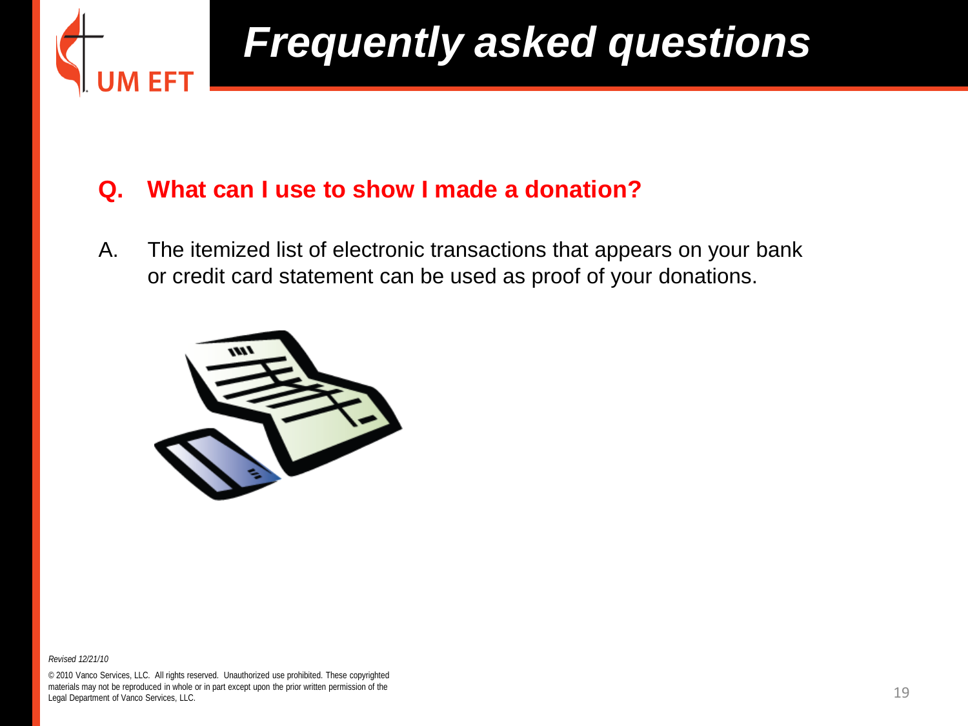

#### **Q. What can I use to show I made a donation?**

A. The itemized list of electronic transactions that appears on your bank or credit card statement can be used as proof of your donations.



*Revised 12/21/10*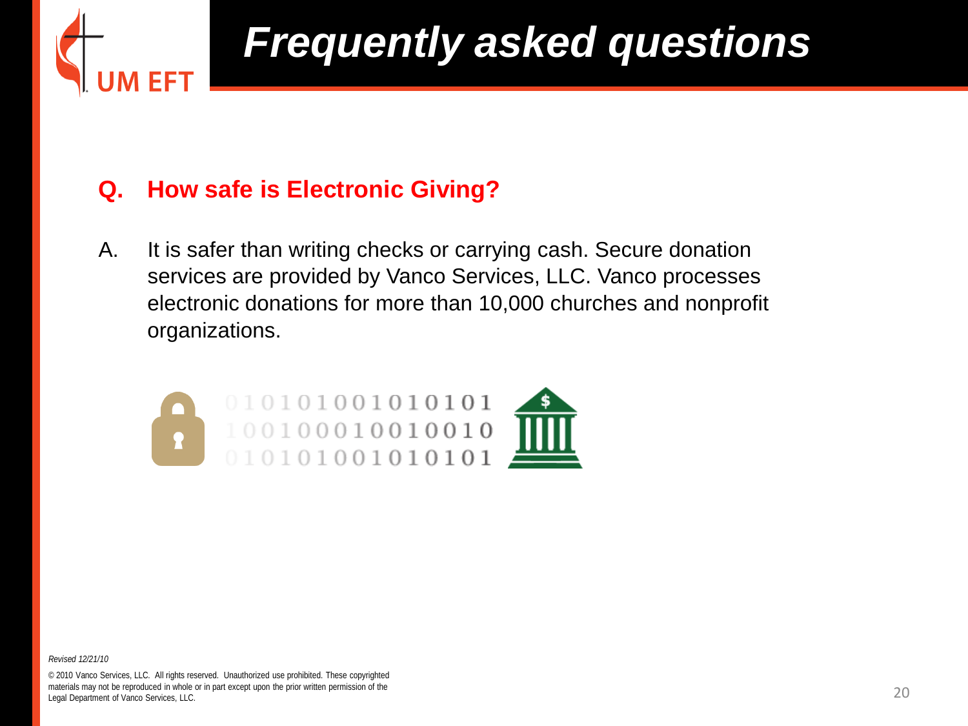

#### **Q. How safe is Electronic Giving?**

A. It is safer than writing checks or carrying cash. Secure donation services are provided by Vanco Services, LLC. Vanco processes electronic donations for more than 10,000 churches and nonprofit organizations.



*Revised 12/21/10*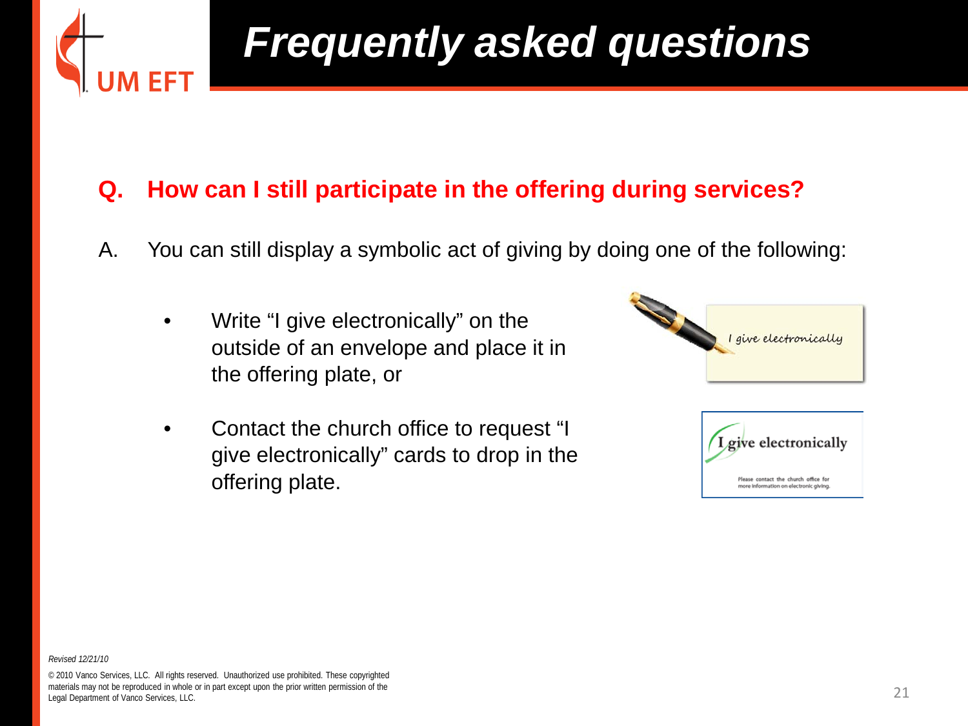

#### **Q. How can I still participate in the offering during services?**

- A. You can still display a symbolic act of giving by doing one of the following:
	- Write "I give electronically" on the outside of an envelope and place it in the offering plate, or
	- Contact the church office to request "I give electronically" cards to drop in the offering plate.



*Revised 12/21/10*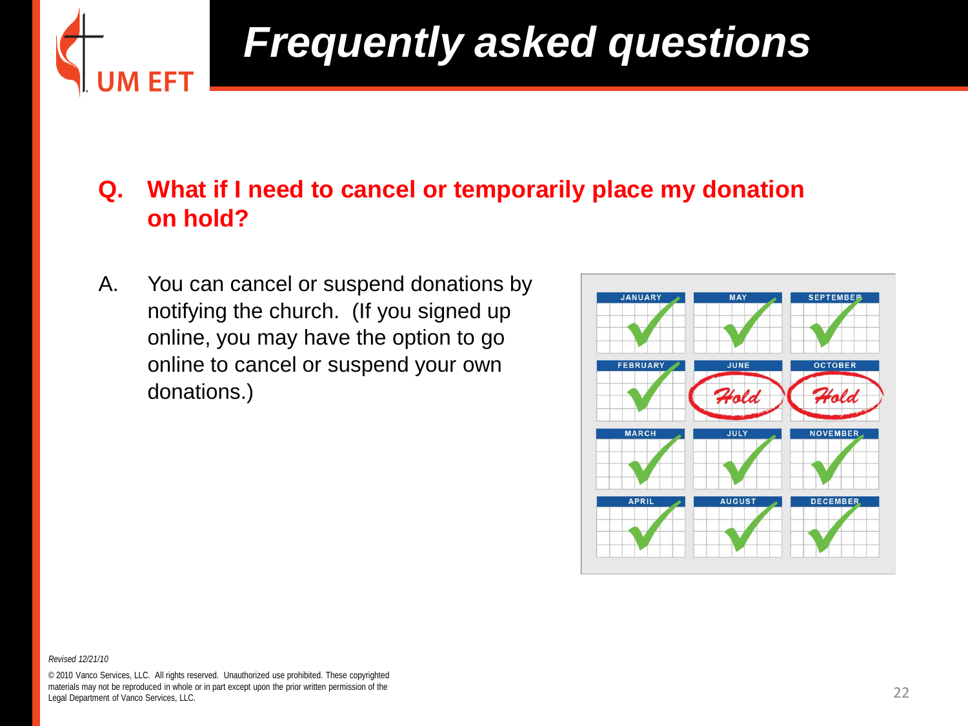

#### **Q. What if I need to cancel or temporarily place my donation on hold?**

A. You can cancel or suspend donations by notifying the church. (If you signed up online, you may have the option to go online to cancel or suspend your own donations.)



*Revised 12/21/10*